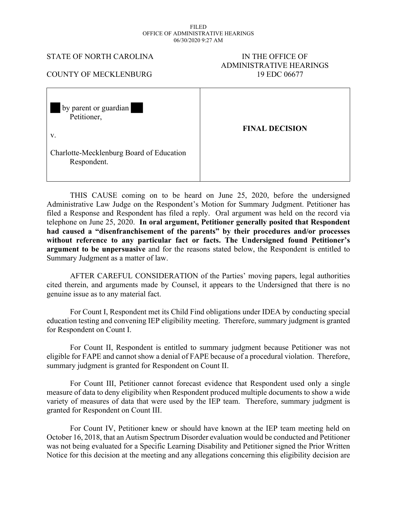#### FILED OFFICE OF ADMINISTRATIVE HEARINGS 06/30/2020 9:27 AM

#### STATE OF NORTH CAROLINA IN THE OFFICE OF

# ADMINISTRATIVE HEARINGS

### COUNTY OF MECKLENBURG 19 EDC 06677

 by parent or guardian Petitioner, v. Charlotte-Mecklenburg Board of Education Respondent. **FINAL DECISION** 

THIS CAUSE coming on to be heard on June 25, 2020, before the undersigned Administrative Law Judge on the Respondent's Motion for Summary Judgment. Petitioner has filed a Response and Respondent has filed a reply. Oral argument was held on the record via telephone on June 25, 2020. **In oral argument, Petitioner generally posited that Respondent had caused a "disenfranchisement of the parents" by their procedures and/or processes without reference to any particular fact or facts. The Undersigned found Petitioner's argument to be unpersuasive** and for the reasons stated below, the Respondent is entitled to Summary Judgment as a matter of law.

AFTER CAREFUL CONSIDERATION of the Parties' moving papers, legal authorities cited therein, and arguments made by Counsel, it appears to the Undersigned that there is no genuine issue as to any material fact.

For Count I, Respondent met its Child Find obligations under IDEA by conducting special education testing and convening IEP eligibility meeting. Therefore, summary judgment is granted for Respondent on Count I.

For Count II, Respondent is entitled to summary judgment because Petitioner was not eligible for FAPE and cannot show a denial of FAPE because of a procedural violation. Therefore, summary judgment is granted for Respondent on Count II.

For Count III, Petitioner cannot forecast evidence that Respondent used only a single measure of data to deny eligibility when Respondent produced multiple documents to show a wide variety of measures of data that were used by the IEP team. Therefore, summary judgment is granted for Respondent on Count III.

For Count IV, Petitioner knew or should have known at the IEP team meeting held on October 16, 2018, that an Autism Spectrum Disorder evaluation would be conducted and Petitioner was not being evaluated for a Specific Learning Disability and Petitioner signed the Prior Written Notice for this decision at the meeting and any allegations concerning this eligibility decision are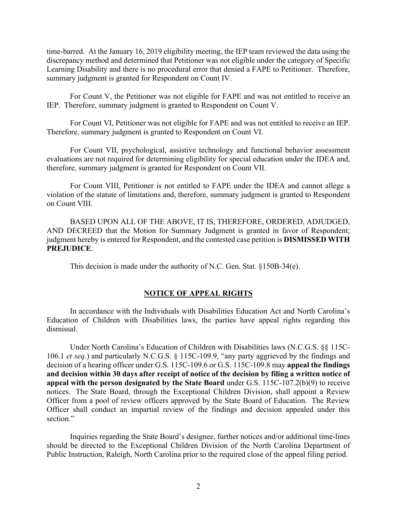time-barred. At the January 16, 2019 eligibility meeting, the IEP team reviewed the data using the discrepancy method and determined that Petitioner was not eligible under the category of Specific Learning Disability and there is no procedural error that denied a FAPE to Petitioner. Therefore, summary judgment is granted for Respondent on Count IV.

For Count V, the Petitioner was not eligible for FAPE and was not entitled to receive an IEP. Therefore, summary judgment is granted to Respondent on Count V.

For Count VI, Petitioner was not eligible for FAPE and was not entitled to receive an IEP. Therefore, summary judgment is granted to Respondent on Count VI.

For Count VII, psychological, assistive technology and functional behavior assessment evaluations are not required for determining eligibility for special education under the IDEA and, therefore, summary judgment is granted for Respondent on Count VII.

For Count VIII, Petitioner is not entitled to FAPE under the IDEA and cannot allege a violation of the statute of limitations and, therefore, summary judgment is granted to Respondent on Count VIII.

BASED UPON ALL OF THE ABOVE, IT IS, THEREFORE, ORDERED, ADJUDGED, AND DECREED that the Motion for Summary Judgment is granted in favor of Respondent; judgment hereby is entered for Respondent, and the contested case petition is **DISMISSED WITH PREJUDICE**.

This decision is made under the authority of N.C. Gen. Stat. §150B-34(e).

### **NOTICE OF APPEAL RIGHTS**

In accordance with the Individuals with Disabilities Education Act and North Carolina's Education of Children with Disabilities laws, the parties have appeal rights regarding this dismissal.

Under North Carolina's Education of Children with Disabilities laws (N.C.G.S. §§ 115C-106.1 *et seq.*) and particularly N.C.G.S. § 115C-109.9, "any party aggrieved by the findings and decision of a hearing officer under G.S. 115C-109.6 or G.S. 115C-109.8 may **appeal the findings and decision within 30 days after receipt of notice of the decision by filing a written notice of appeal with the person designated by the State Board** under G.S. 115C-107.2(b)(9) to receive notices. The State Board, through the Exceptional Children Division, shall appoint a Review Officer from a pool of review officers approved by the State Board of Education. The Review Officer shall conduct an impartial review of the findings and decision appealed under this section."

Inquiries regarding the State Board's designee, further notices and/or additional time-lines should be directed to the Exceptional Children Division of the North Carolina Department of Public Instruction, Raleigh, North Carolina prior to the required close of the appeal filing period.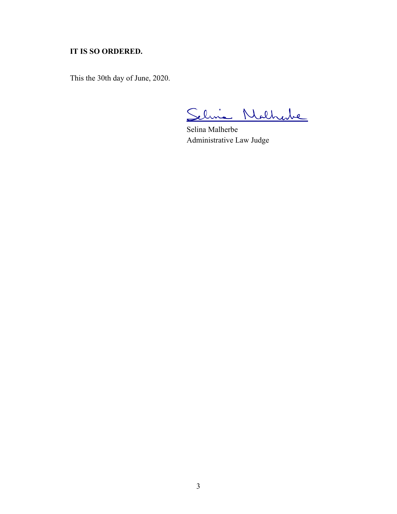## **IT IS SO ORDERED.**

This the 30th day of June, 2020.

Selvia Nathabe

Selina Malherbe Administrative Law Judge